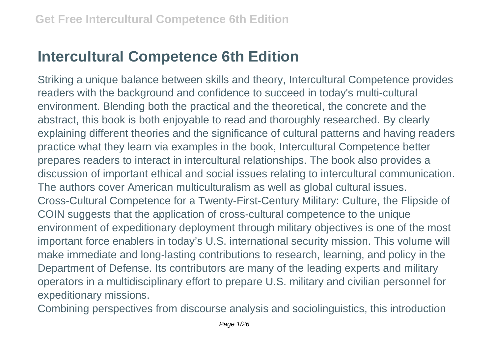## **Intercultural Competence 6th Edition**

Striking a unique balance between skills and theory, Intercultural Competence provides readers with the background and confidence to succeed in today's multi-cultural environment. Blending both the practical and the theoretical, the concrete and the abstract, this book is both enjoyable to read and thoroughly researched. By clearly explaining different theories and the significance of cultural patterns and having readers practice what they learn via examples in the book, Intercultural Competence better prepares readers to interact in intercultural relationships. The book also provides a discussion of important ethical and social issues relating to intercultural communication. The authors cover American multiculturalism as well as global cultural issues. Cross-Cultural Competence for a Twenty-First-Century Military: Culture, the Flipside of COIN suggests that the application of cross-cultural competence to the unique environment of expeditionary deployment through military objectives is one of the most important force enablers in today's U.S. international security mission. This volume will make immediate and long-lasting contributions to research, learning, and policy in the Department of Defense. Its contributors are many of the leading experts and military operators in a multidisciplinary effort to prepare U.S. military and civilian personnel for expeditionary missions.

Combining perspectives from discourse analysis and sociolinguistics, this introduction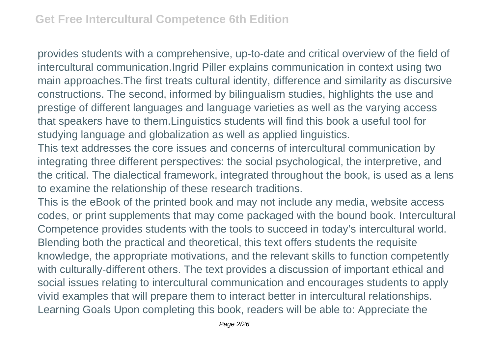provides students with a comprehensive, up-to-date and critical overview of the field of intercultural communication.Ingrid Piller explains communication in context using two main approaches.The first treats cultural identity, difference and similarity as discursive constructions. The second, informed by bilingualism studies, highlights the use and prestige of different languages and language varieties as well as the varying access that speakers have to them.Linguistics students will find this book a useful tool for studying language and globalization as well as applied linguistics.

This text addresses the core issues and concerns of intercultural communication by integrating three different perspectives: the social psychological, the interpretive, and the critical. The dialectical framework, integrated throughout the book, is used as a lens to examine the relationship of these research traditions.

This is the eBook of the printed book and may not include any media, website access codes, or print supplements that may come packaged with the bound book. Intercultural Competence provides students with the tools to succeed in today's intercultural world. Blending both the practical and theoretical, this text offers students the requisite knowledge, the appropriate motivations, and the relevant skills to function competently with culturally-different others. The text provides a discussion of important ethical and social issues relating to intercultural communication and encourages students to apply vivid examples that will prepare them to interact better in intercultural relationships. Learning Goals Upon completing this book, readers will be able to: Appreciate the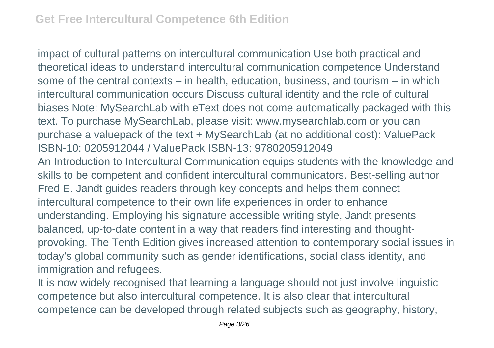impact of cultural patterns on intercultural communication Use both practical and theoretical ideas to understand intercultural communication competence Understand some of the central contexts – in health, education, business, and tourism – in which intercultural communication occurs Discuss cultural identity and the role of cultural biases Note: MySearchLab with eText does not come automatically packaged with this text. To purchase MySearchLab, please visit: www.mysearchlab.com or you can purchase a valuepack of the text + MySearchLab (at no additional cost): ValuePack ISBN-10: 0205912044 / ValuePack ISBN-13: 9780205912049 An Introduction to Intercultural Communication equips students with the knowledge and skills to be competent and confident intercultural communicators. Best-selling author Fred E. Jandt guides readers through key concepts and helps them connect intercultural competence to their own life experiences in order to enhance understanding. Employing his signature accessible writing style, Jandt presents balanced, up-to-date content in a way that readers find interesting and thoughtprovoking. The Tenth Edition gives increased attention to contemporary social issues in today's global community such as gender identifications, social class identity, and immigration and refugees.

It is now widely recognised that learning a language should not just involve linguistic competence but also intercultural competence. It is also clear that intercultural competence can be developed through related subjects such as geography, history,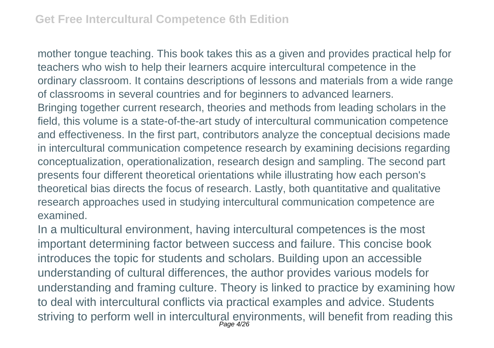mother tongue teaching. This book takes this as a given and provides practical help for teachers who wish to help their learners acquire intercultural competence in the ordinary classroom. It contains descriptions of lessons and materials from a wide range of classrooms in several countries and for beginners to advanced learners. Bringing together current research, theories and methods from leading scholars in the field, this volume is a state-of-the-art study of intercultural communication competence and effectiveness. In the first part, contributors analyze the conceptual decisions made in intercultural communication competence research by examining decisions regarding conceptualization, operationalization, research design and sampling. The second part presents four different theoretical orientations while illustrating how each person's theoretical bias directs the focus of research. Lastly, both quantitative and qualitative research approaches used in studying intercultural communication competence are examined.

In a multicultural environment, having intercultural competences is the most important determining factor between success and failure. This concise book introduces the topic for students and scholars. Building upon an accessible understanding of cultural differences, the author provides various models for understanding and framing culture. Theory is linked to practice by examining how to deal with intercultural conflicts via practical examples and advice. Students striving to perform well in intercultural environments, will benefit from reading this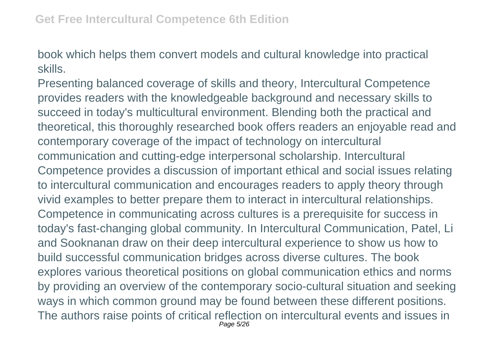book which helps them convert models and cultural knowledge into practical skills.

Presenting balanced coverage of skills and theory, Intercultural Competence provides readers with the knowledgeable background and necessary skills to succeed in today's multicultural environment. Blending both the practical and theoretical, this thoroughly researched book offers readers an enjoyable read and contemporary coverage of the impact of technology on intercultural communication and cutting-edge interpersonal scholarship. Intercultural Competence provides a discussion of important ethical and social issues relating to intercultural communication and encourages readers to apply theory through vivid examples to better prepare them to interact in intercultural relationships. Competence in communicating across cultures is a prerequisite for success in today's fast-changing global community. In Intercultural Communication, Patel, Li and Sooknanan draw on their deep intercultural experience to show us how to build successful communication bridges across diverse cultures. The book explores various theoretical positions on global communication ethics and norms by providing an overview of the contemporary socio-cultural situation and seeking ways in which common ground may be found between these different positions. The authors raise points of critical reflection on intercultural events and issues in Page 5/26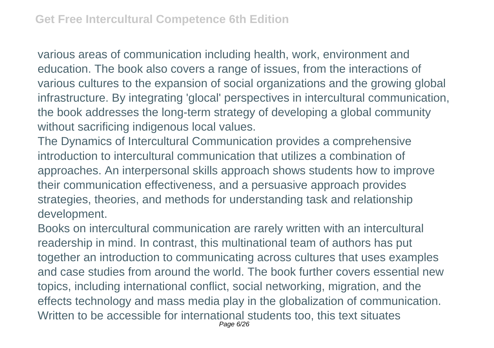various areas of communication including health, work, environment and education. The book also covers a range of issues, from the interactions of various cultures to the expansion of social organizations and the growing global infrastructure. By integrating 'glocal' perspectives in intercultural communication, the book addresses the long-term strategy of developing a global community without sacrificing indigenous local values.

The Dynamics of Intercultural Communication provides a comprehensive introduction to intercultural communication that utilizes a combination of approaches. An interpersonal skills approach shows students how to improve their communication effectiveness, and a persuasive approach provides strategies, theories, and methods for understanding task and relationship development.

Books on intercultural communication are rarely written with an intercultural readership in mind. In contrast, this multinational team of authors has put together an introduction to communicating across cultures that uses examples and case studies from around the world. The book further covers essential new topics, including international conflict, social networking, migration, and the effects technology and mass media play in the globalization of communication. Written to be accessible for international students too, this text situates Page 6/26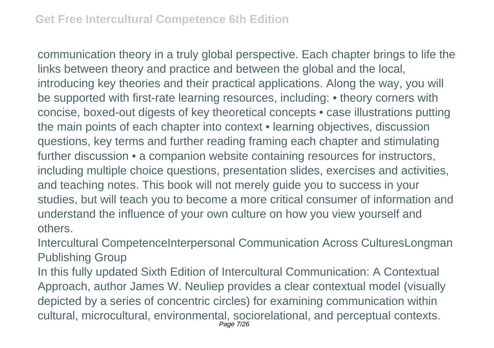communication theory in a truly global perspective. Each chapter brings to life the links between theory and practice and between the global and the local, introducing key theories and their practical applications. Along the way, you will be supported with first-rate learning resources, including: • theory corners with concise, boxed-out digests of key theoretical concepts • case illustrations putting the main points of each chapter into context • learning objectives, discussion questions, key terms and further reading framing each chapter and stimulating further discussion • a companion website containing resources for instructors, including multiple choice questions, presentation slides, exercises and activities, and teaching notes. This book will not merely guide you to success in your studies, but will teach you to become a more critical consumer of information and understand the influence of your own culture on how you view yourself and others.

Intercultural CompetenceInterpersonal Communication Across CulturesLongman Publishing Group

In this fully updated Sixth Edition of Intercultural Communication: A Contextual Approach, author James W. Neuliep provides a clear contextual model (visually depicted by a series of concentric circles) for examining communication within cultural, microcultural, environmental, sociorelational, and perceptual contexts. Page 7/26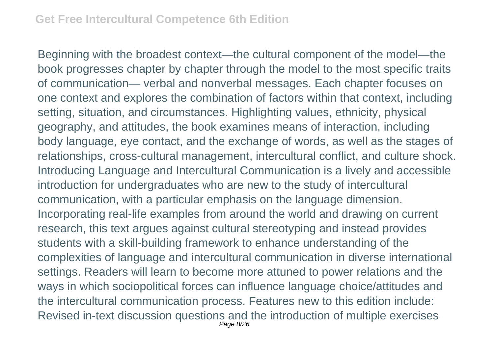Beginning with the broadest context—the cultural component of the model—the book progresses chapter by chapter through the model to the most specific traits of communication— verbal and nonverbal messages. Each chapter focuses on one context and explores the combination of factors within that context, including setting, situation, and circumstances. Highlighting values, ethnicity, physical geography, and attitudes, the book examines means of interaction, including body language, eye contact, and the exchange of words, as well as the stages of relationships, cross-cultural management, intercultural conflict, and culture shock. Introducing Language and Intercultural Communication is a lively and accessible introduction for undergraduates who are new to the study of intercultural communication, with a particular emphasis on the language dimension. Incorporating real-life examples from around the world and drawing on current research, this text argues against cultural stereotyping and instead provides students with a skill-building framework to enhance understanding of the complexities of language and intercultural communication in diverse international settings. Readers will learn to become more attuned to power relations and the ways in which sociopolitical forces can influence language choice/attitudes and the intercultural communication process. Features new to this edition include: Revised in-text discussion questions and the introduction of multiple exercises Page 8/26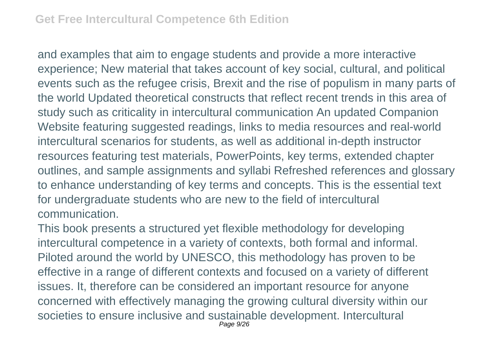and examples that aim to engage students and provide a more interactive experience; New material that takes account of key social, cultural, and political events such as the refugee crisis, Brexit and the rise of populism in many parts of the world Updated theoretical constructs that reflect recent trends in this area of study such as criticality in intercultural communication An updated Companion Website featuring suggested readings, links to media resources and real-world intercultural scenarios for students, as well as additional in-depth instructor resources featuring test materials, PowerPoints, key terms, extended chapter outlines, and sample assignments and syllabi Refreshed references and glossary to enhance understanding of key terms and concepts. This is the essential text for undergraduate students who are new to the field of intercultural communication.

This book presents a structured yet flexible methodology for developing intercultural competence in a variety of contexts, both formal and informal. Piloted around the world by UNESCO, this methodology has proven to be effective in a range of different contexts and focused on a variety of different issues. It, therefore can be considered an important resource for anyone concerned with effectively managing the growing cultural diversity within our societies to ensure inclusive and sustainable development. Intercultural Page 9/26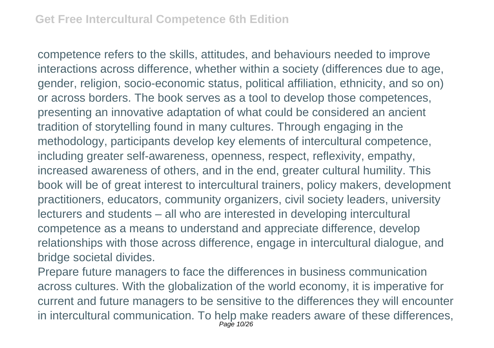competence refers to the skills, attitudes, and behaviours needed to improve interactions across difference, whether within a society (differences due to age, gender, religion, socio-economic status, political affiliation, ethnicity, and so on) or across borders. The book serves as a tool to develop those competences, presenting an innovative adaptation of what could be considered an ancient tradition of storytelling found in many cultures. Through engaging in the methodology, participants develop key elements of intercultural competence, including greater self-awareness, openness, respect, reflexivity, empathy, increased awareness of others, and in the end, greater cultural humility. This book will be of great interest to intercultural trainers, policy makers, development practitioners, educators, community organizers, civil society leaders, university lecturers and students – all who are interested in developing intercultural competence as a means to understand and appreciate difference, develop relationships with those across difference, engage in intercultural dialogue, and bridge societal divides.

Prepare future managers to face the differences in business communication across cultures. With the globalization of the world economy, it is imperative for current and future managers to be sensitive to the differences they will encounter in intercultural communication. To help make readers aware of these differences, Page 10/26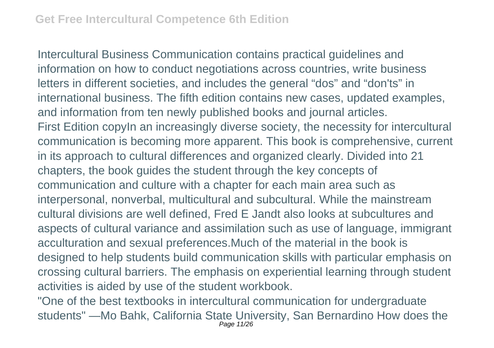Intercultural Business Communication contains practical guidelines and information on how to conduct negotiations across countries, write business letters in different societies, and includes the general "dos" and "don'ts" in international business. The fifth edition contains new cases, updated examples, and information from ten newly published books and journal articles. First Edition copy In an increasingly diverse society, the necessity for intercultural communication is becoming more apparent. This book is comprehensive, current in its approach to cultural differences and organized clearly. Divided into 21 chapters, the book guides the student through the key concepts of communication and culture with a chapter for each main area such as interpersonal, nonverbal, multicultural and subcultural. While the mainstream cultural divisions are well defined, Fred E Jandt also looks at subcultures and aspects of cultural variance and assimilation such as use of language, immigrant acculturation and sexual preferences.Much of the material in the book is designed to help students build communication skills with particular emphasis on crossing cultural barriers. The emphasis on experiential learning through student activities is aided by use of the student workbook.

"One of the best textbooks in intercultural communication for undergraduate students" —Mo Bahk, California State University, San Bernardino How does the Page 11/26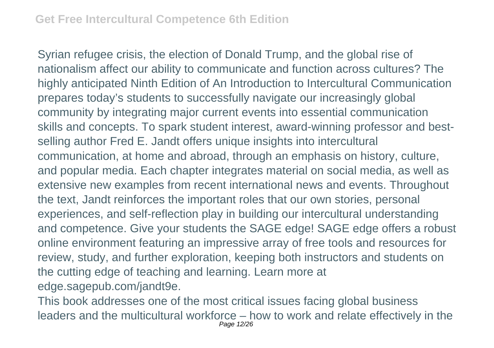Syrian refugee crisis, the election of Donald Trump, and the global rise of nationalism affect our ability to communicate and function across cultures? The highly anticipated Ninth Edition of An Introduction to Intercultural Communication prepares today's students to successfully navigate our increasingly global community by integrating major current events into essential communication skills and concepts. To spark student interest, award-winning professor and bestselling author Fred E. Jandt offers unique insights into intercultural communication, at home and abroad, through an emphasis on history, culture, and popular media. Each chapter integrates material on social media, as well as extensive new examples from recent international news and events. Throughout the text, Jandt reinforces the important roles that our own stories, personal experiences, and self-reflection play in building our intercultural understanding and competence. Give your students the SAGE edge! SAGE edge offers a robust online environment featuring an impressive array of free tools and resources for review, study, and further exploration, keeping both instructors and students on the cutting edge of teaching and learning. Learn more at edge.sagepub.com/jandt9e.

This book addresses one of the most critical issues facing global business leaders and the multicultural workforce – how to work and relate effectively in the Page 12/26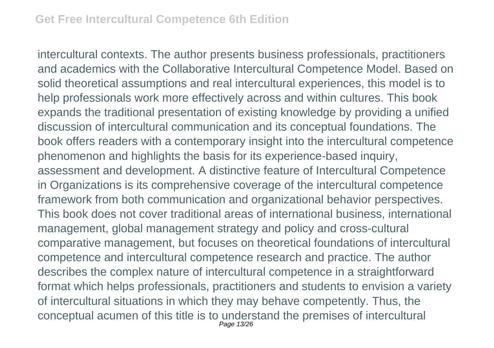intercultural contexts. The author presents business professionals, practitioners and academics with the Collaborative Intercultural Competence Model. Based on solid theoretical assumptions and real intercultural experiences, this model is to help professionals work more effectively across and within cultures. This book expands the traditional presentation of existing knowledge by providing a unified discussion of intercultural communication and its conceptual foundations. The book offers readers with a contemporary insight into the intercultural competence phenomenon and highlights the basis for its experience-based inquiry, assessment and development. A distinctive feature of Intercultural Competence in Organizations is its comprehensive coverage of the intercultural competence framework from both communication and organizational behavior perspectives. This book does not cover traditional areas of international business, international management, global management strategy and policy and cross-cultural comparative management, but focuses on theoretical foundations of intercultural competence and intercultural competence research and practice. The author describes the complex nature of intercultural competence in a straightforward format which helps professionals, practitioners and students to envision a variety of intercultural situations in which they may behave competently. Thus, the conceptual acumen of this title is to understand the premises of intercultural Page 13/26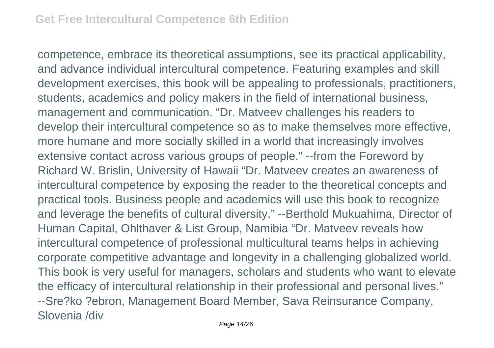competence, embrace its theoretical assumptions, see its practical applicability, and advance individual intercultural competence. Featuring examples and skill development exercises, this book will be appealing to professionals, practitioners, students, academics and policy makers in the field of international business, management and communication. "Dr. Matveev challenges his readers to develop their intercultural competence so as to make themselves more effective, more humane and more socially skilled in a world that increasingly involves extensive contact across various groups of people." --from the Foreword by Richard W. Brislin, University of Hawaii "Dr. Matveev creates an awareness of intercultural competence by exposing the reader to the theoretical concepts and practical tools. Business people and academics will use this book to recognize and leverage the benefits of cultural diversity." --Berthold Mukuahima, Director of Human Capital, Ohlthaver & List Group, Namibia "Dr. Matveev reveals how intercultural competence of professional multicultural teams helps in achieving corporate competitive advantage and longevity in a challenging globalized world. This book is very useful for managers, scholars and students who want to elevate the efficacy of intercultural relationship in their professional and personal lives." --Sre?ko ?ebron, Management Board Member, Sava Reinsurance Company, Slovenia /div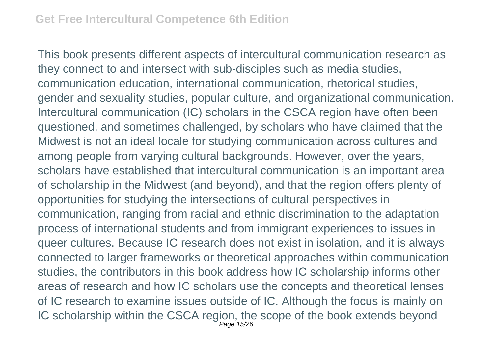This book presents different aspects of intercultural communication research as they connect to and intersect with sub-disciples such as media studies, communication education, international communication, rhetorical studies, gender and sexuality studies, popular culture, and organizational communication. Intercultural communication (IC) scholars in the CSCA region have often been questioned, and sometimes challenged, by scholars who have claimed that the Midwest is not an ideal locale for studying communication across cultures and among people from varying cultural backgrounds. However, over the years, scholars have established that intercultural communication is an important area of scholarship in the Midwest (and beyond), and that the region offers plenty of opportunities for studying the intersections of cultural perspectives in communication, ranging from racial and ethnic discrimination to the adaptation process of international students and from immigrant experiences to issues in queer cultures. Because IC research does not exist in isolation, and it is always connected to larger frameworks or theoretical approaches within communication studies, the contributors in this book address how IC scholarship informs other areas of research and how IC scholars use the concepts and theoretical lenses of IC research to examine issues outside of IC. Although the focus is mainly on IC scholarship within the CSCA region, the scope of the book extends beyond Page 15/26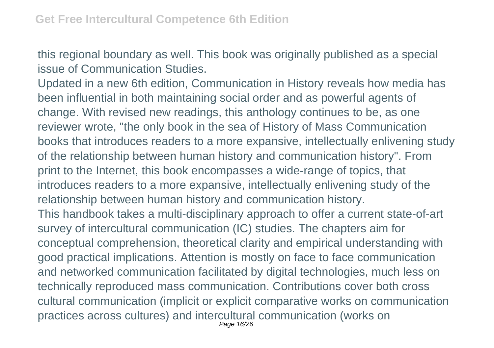this regional boundary as well. This book was originally published as a special issue of Communication Studies.

Updated in a new 6th edition, Communication in History reveals how media has been influential in both maintaining social order and as powerful agents of change. With revised new readings, this anthology continues to be, as one reviewer wrote, "the only book in the sea of History of Mass Communication books that introduces readers to a more expansive, intellectually enlivening study of the relationship between human history and communication history". From print to the Internet, this book encompasses a wide-range of topics, that introduces readers to a more expansive, intellectually enlivening study of the relationship between human history and communication history. This handbook takes a multi-disciplinary approach to offer a current state-of-art survey of intercultural communication (IC) studies. The chapters aim for conceptual comprehension, theoretical clarity and empirical understanding with good practical implications. Attention is mostly on face to face communication and networked communication facilitated by digital technologies, much less on technically reproduced mass communication. Contributions cover both cross cultural communication (implicit or explicit comparative works on communication practices across cultures) and intercultural communication (works on Page 16/26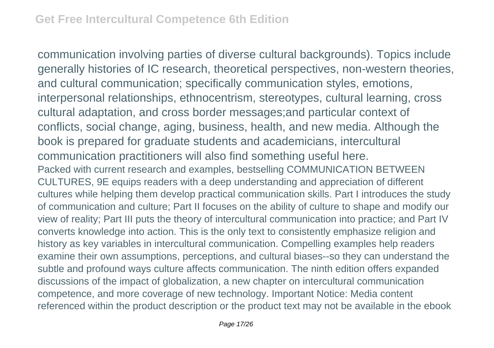communication involving parties of diverse cultural backgrounds). Topics include generally histories of IC research, theoretical perspectives, non-western theories, and cultural communication; specifically communication styles, emotions, interpersonal relationships, ethnocentrism, stereotypes, cultural learning, cross cultural adaptation, and cross border messages;and particular context of conflicts, social change, aging, business, health, and new media. Although the book is prepared for graduate students and academicians, intercultural communication practitioners will also find something useful here. Packed with current research and examples, bestselling COMMUNICATION BETWEEN CULTURES, 9E equips readers with a deep understanding and appreciation of different cultures while helping them develop practical communication skills. Part I introduces the study of communication and culture; Part II focuses on the ability of culture to shape and modify our view of reality; Part III puts the theory of intercultural communication into practice; and Part IV converts knowledge into action. This is the only text to consistently emphasize religion and history as key variables in intercultural communication. Compelling examples help readers examine their own assumptions, perceptions, and cultural biases--so they can understand the subtle and profound ways culture affects communication. The ninth edition offers expanded discussions of the impact of globalization, a new chapter on intercultural communication competence, and more coverage of new technology. Important Notice: Media content referenced within the product description or the product text may not be available in the ebook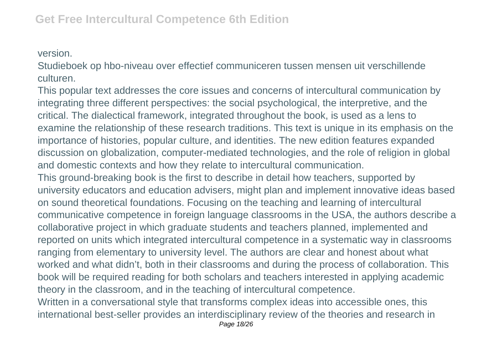version.

Studieboek op hbo-niveau over effectief communiceren tussen mensen uit verschillende culturen.

This popular text addresses the core issues and concerns of intercultural communication by integrating three different perspectives: the social psychological, the interpretive, and the critical. The dialectical framework, integrated throughout the book, is used as a lens to examine the relationship of these research traditions. This text is unique in its emphasis on the importance of histories, popular culture, and identities. The new edition features expanded discussion on globalization, computer-mediated technologies, and the role of religion in global and domestic contexts and how they relate to intercultural communication.

This ground-breaking book is the first to describe in detail how teachers, supported by university educators and education advisers, might plan and implement innovative ideas based on sound theoretical foundations. Focusing on the teaching and learning of intercultural communicative competence in foreign language classrooms in the USA, the authors describe a collaborative project in which graduate students and teachers planned, implemented and reported on units which integrated intercultural competence in a systematic way in classrooms ranging from elementary to university level. The authors are clear and honest about what worked and what didn't, both in their classrooms and during the process of collaboration. This book will be required reading for both scholars and teachers interested in applying academic theory in the classroom, and in the teaching of intercultural competence. Written in a conversational style that transforms complex ideas into accessible ones, this

international best-seller provides an interdisciplinary review of the theories and research in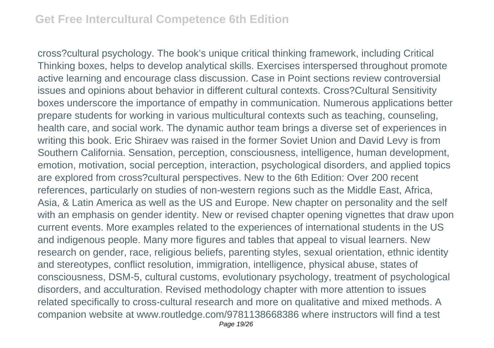cross?cultural psychology. The book's unique critical thinking framework, including Critical Thinking boxes, helps to develop analytical skills. Exercises interspersed throughout promote active learning and encourage class discussion. Case in Point sections review controversial issues and opinions about behavior in different cultural contexts. Cross?Cultural Sensitivity boxes underscore the importance of empathy in communication. Numerous applications better prepare students for working in various multicultural contexts such as teaching, counseling, health care, and social work. The dynamic author team brings a diverse set of experiences in writing this book. Eric Shiraev was raised in the former Soviet Union and David Levy is from Southern California. Sensation, perception, consciousness, intelligence, human development, emotion, motivation, social perception, interaction, psychological disorders, and applied topics are explored from cross?cultural perspectives. New to the 6th Edition: Over 200 recent references, particularly on studies of non-western regions such as the Middle East, Africa, Asia, & Latin America as well as the US and Europe. New chapter on personality and the self with an emphasis on gender identity. New or revised chapter opening vignettes that draw upon current events. More examples related to the experiences of international students in the US and indigenous people. Many more figures and tables that appeal to visual learners. New research on gender, race, religious beliefs, parenting styles, sexual orientation, ethnic identity and stereotypes, conflict resolution, immigration, intelligence, physical abuse, states of consciousness, DSM-5, cultural customs, evolutionary psychology, treatment of psychological disorders, and acculturation. Revised methodology chapter with more attention to issues related specifically to cross-cultural research and more on qualitative and mixed methods. A companion website at www.routledge.com/9781138668386 where instructors will find a test Page 19/26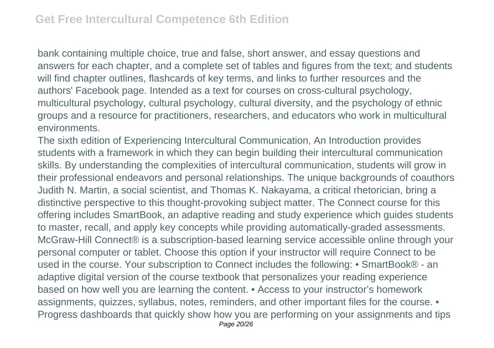bank containing multiple choice, true and false, short answer, and essay questions and answers for each chapter, and a complete set of tables and figures from the text; and students will find chapter outlines, flashcards of key terms, and links to further resources and the authors' Facebook page. Intended as a text for courses on cross-cultural psychology, multicultural psychology, cultural psychology, cultural diversity, and the psychology of ethnic groups and a resource for practitioners, researchers, and educators who work in multicultural environments.

The sixth edition of Experiencing Intercultural Communication, An Introduction provides students with a framework in which they can begin building their intercultural communication skills. By understanding the complexities of intercultural communication, students will grow in their professional endeavors and personal relationships. The unique backgrounds of coauthors Judith N. Martin, a social scientist, and Thomas K. Nakayama, a critical rhetorician, bring a distinctive perspective to this thought-provoking subject matter. The Connect course for this offering includes SmartBook, an adaptive reading and study experience which guides students to master, recall, and apply key concepts while providing automatically-graded assessments. McGraw-Hill Connect® is a subscription-based learning service accessible online through your personal computer or tablet. Choose this option if your instructor will require Connect to be used in the course. Your subscription to Connect includes the following: • SmartBook® - an adaptive digital version of the course textbook that personalizes your reading experience based on how well you are learning the content. • Access to your instructor's homework assignments, quizzes, syllabus, notes, reminders, and other important files for the course. • Progress dashboards that quickly show how you are performing on your assignments and tips Page 20/26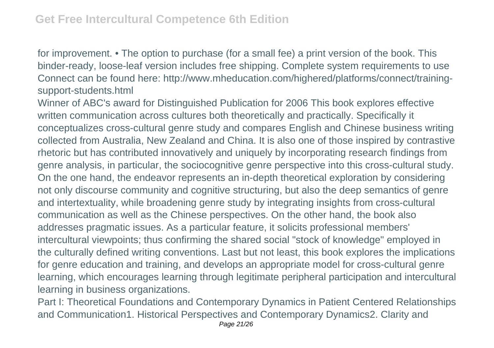for improvement. • The option to purchase (for a small fee) a print version of the book. This binder-ready, loose-leaf version includes free shipping. Complete system requirements to use Connect can be found here: http://www.mheducation.com/highered/platforms/connect/trainingsupport-students.html

Winner of ABC's award for Distinguished Publication for 2006 This book explores effective written communication across cultures both theoretically and practically. Specifically it conceptualizes cross-cultural genre study and compares English and Chinese business writing collected from Australia, New Zealand and China. It is also one of those inspired by contrastive rhetoric but has contributed innovatively and uniquely by incorporating research findings from genre analysis, in particular, the sociocognitive genre perspective into this cross-cultural study. On the one hand, the endeavor represents an in-depth theoretical exploration by considering not only discourse community and cognitive structuring, but also the deep semantics of genre and intertextuality, while broadening genre study by integrating insights from cross-cultural communication as well as the Chinese perspectives. On the other hand, the book also addresses pragmatic issues. As a particular feature, it solicits professional members' intercultural viewpoints; thus confirming the shared social "stock of knowledge" employed in the culturally defined writing conventions. Last but not least, this book explores the implications for genre education and training, and develops an appropriate model for cross-cultural genre learning, which encourages learning through legitimate peripheral participation and intercultural learning in business organizations.

Part I: Theoretical Foundations and Contemporary Dynamics in Patient Centered Relationships and Communication1. Historical Perspectives and Contemporary Dynamics2. Clarity and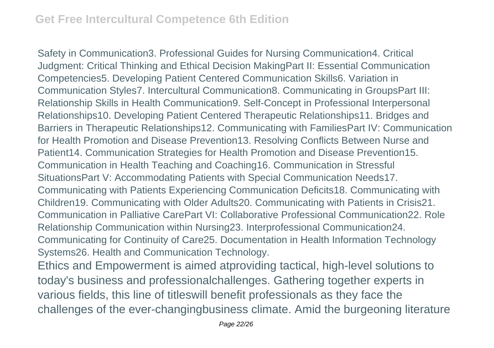Safety in Communication3. Professional Guides for Nursing Communication4. Critical Judgment: Critical Thinking and Ethical Decision MakingPart II: Essential Communication Competencies5. Developing Patient Centered Communication Skills6. Variation in Communication Styles7. Intercultural Communication8. Communicating in GroupsPart III: Relationship Skills in Health Communication9. Self-Concept in Professional Interpersonal Relationships10. Developing Patient Centered Therapeutic Relationships11. Bridges and Barriers in Therapeutic Relationships12. Communicating with FamiliesPart IV: Communication for Health Promotion and Disease Prevention13. Resolving Conflicts Between Nurse and Patient14. Communication Strategies for Health Promotion and Disease Prevention15. Communication in Health Teaching and Coaching16. Communication in Stressful SituationsPart V: Accommodating Patients with Special Communication Needs17. Communicating with Patients Experiencing Communication Deficits18. Communicating with Children19. Communicating with Older Adults20. Communicating with Patients in Crisis21. Communication in Palliative CarePart VI: Collaborative Professional Communication22. Role Relationship Communication within Nursing23. Interprofessional Communication24. Communicating for Continuity of Care25. Documentation in Health Information Technology Systems26. Health and Communication Technology. Ethics and Empowerment is aimed atproviding tactical, high-level solutions to today's business and professionalchallenges. Gathering together experts in various fields, this line of titleswill benefit professionals as they face the challenges of the ever-changingbusiness climate. Amid the burgeoning literature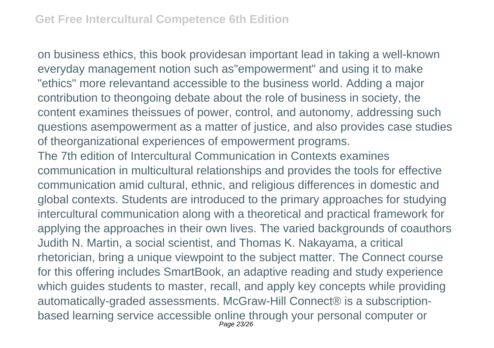on business ethics, this book providesan important lead in taking a well-known everyday management notion such as"empowerment" and using it to make "ethics" more relevantand accessible to the business world. Adding a major contribution to theongoing debate about the role of business in society, the content examines theissues of power, control, and autonomy, addressing such questions asempowerment as a matter of justice, and also provides case studies of theorganizational experiences of empowerment programs. The 7th edition of Intercultural Communication in Contexts examines communication in multicultural relationships and provides the tools for effective communication amid cultural, ethnic, and religious differences in domestic and global contexts. Students are introduced to the primary approaches for studying intercultural communication along with a theoretical and practical framework for applying the approaches in their own lives. The varied backgrounds of coauthors Judith N. Martin, a social scientist, and Thomas K. Nakayama, a critical rhetorician, bring a unique viewpoint to the subject matter. The Connect course for this offering includes SmartBook, an adaptive reading and study experience which guides students to master, recall, and apply key concepts while providing automatically-graded assessments. McGraw-Hill Connect® is a subscriptionbased learning service accessible online through your personal computer or Page 23/26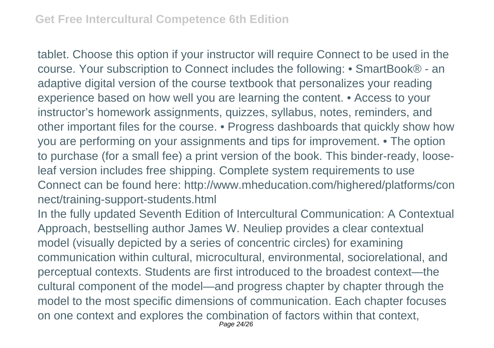tablet. Choose this option if your instructor will require Connect to be used in the course. Your subscription to Connect includes the following: • SmartBook® - an adaptive digital version of the course textbook that personalizes your reading experience based on how well you are learning the content. • Access to your instructor's homework assignments, quizzes, syllabus, notes, reminders, and other important files for the course. • Progress dashboards that quickly show how you are performing on your assignments and tips for improvement. • The option to purchase (for a small fee) a print version of the book. This binder-ready, looseleaf version includes free shipping. Complete system requirements to use Connect can be found here: http://www.mheducation.com/highered/platforms/con nect/training-support-students.html

In the fully updated Seventh Edition of Intercultural Communication: A Contextual Approach, bestselling author James W. Neuliep provides a clear contextual model (visually depicted by a series of concentric circles) for examining communication within cultural, microcultural, environmental, sociorelational, and perceptual contexts. Students are first introduced to the broadest context—the cultural component of the model—and progress chapter by chapter through the model to the most specific dimensions of communication. Each chapter focuses on one context and explores the combination of factors within that context, Page 24/26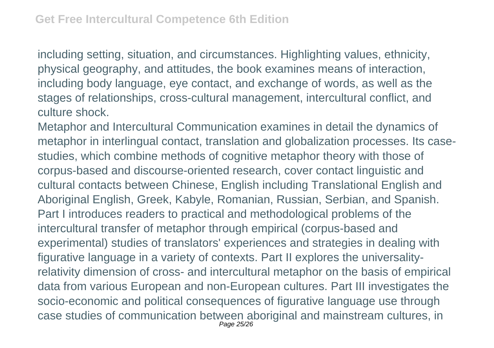including setting, situation, and circumstances. Highlighting values, ethnicity, physical geography, and attitudes, the book examines means of interaction, including body language, eye contact, and exchange of words, as well as the stages of relationships, cross-cultural management, intercultural conflict, and culture shock.

Metaphor and Intercultural Communication examines in detail the dynamics of metaphor in interlingual contact, translation and globalization processes. Its casestudies, which combine methods of cognitive metaphor theory with those of corpus-based and discourse-oriented research, cover contact linguistic and cultural contacts between Chinese, English including Translational English and Aboriginal English, Greek, Kabyle, Romanian, Russian, Serbian, and Spanish. Part I introduces readers to practical and methodological problems of the intercultural transfer of metaphor through empirical (corpus-based and experimental) studies of translators' experiences and strategies in dealing with figurative language in a variety of contexts. Part II explores the universalityrelativity dimension of cross- and intercultural metaphor on the basis of empirical data from various European and non-European cultures. Part III investigates the socio-economic and political consequences of figurative language use through case studies of communication between aboriginal and mainstream cultures, in Page 25/26